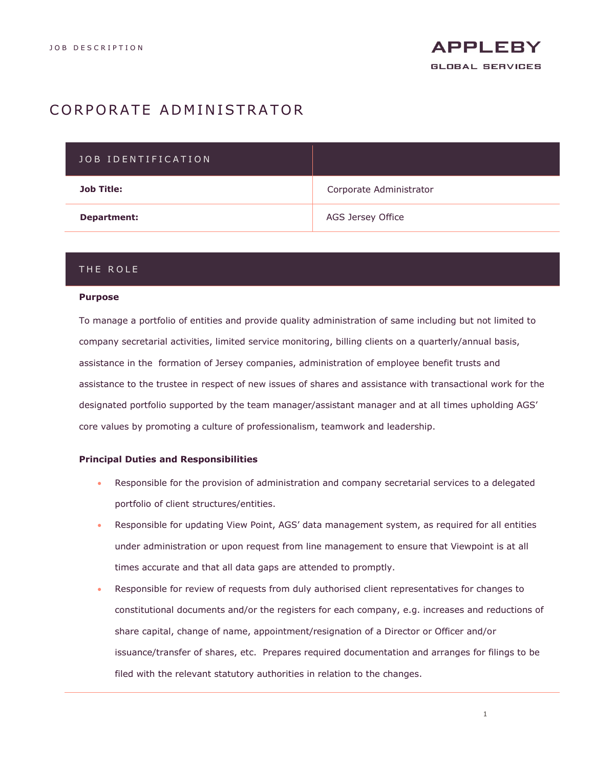# CORPORATE ADMINISTRATOR

| JOB IDENTIFICATION |                         |
|--------------------|-------------------------|
| <b>Job Title:</b>  | Corporate Administrator |
| Department:        | AGS Jersey Office       |

# THE ROLE

#### **Purpose**

To manage a portfolio of entities and provide quality administration of same including but not limited to company secretarial activities, limited service monitoring, billing clients on a quarterly/annual basis, assistance in the formation of Jersey companies, administration of employee benefit trusts and assistance to the trustee in respect of new issues of shares and assistance with transactional work for the designated portfolio supported by the team manager/assistant manager and at all times upholding AGS' core values by promoting a culture of professionalism, teamwork and leadership.

### **Principal Duties and Responsibilities**

- Responsible for the provision of administration and company secretarial services to a delegated portfolio of client structures/entities.
- Responsible for updating View Point, AGS' data management system, as required for all entities under administration or upon request from line management to ensure that Viewpoint is at all times accurate and that all data gaps are attended to promptly.
- Responsible for review of requests from duly authorised client representatives for changes to constitutional documents and/or the registers for each company, e.g. increases and reductions of share capital, change of name, appointment/resignation of a Director or Officer and/or issuance/transfer of shares, etc. Prepares required documentation and arranges for filings to be filed with the relevant statutory authorities in relation to the changes.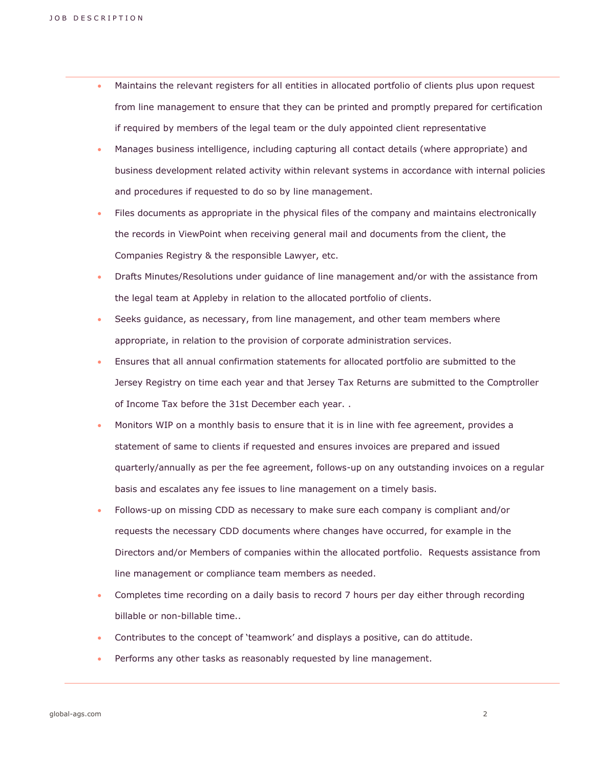- Maintains the relevant registers for all entities in allocated portfolio of clients plus upon request from line management to ensure that they can be printed and promptly prepared for certification if required by members of the legal team or the duly appointed client representative
- Manages business intelligence, including capturing all contact details (where appropriate) and business development related activity within relevant systems in accordance with internal policies and procedures if requested to do so by line management.
- Files documents as appropriate in the physical files of the company and maintains electronically the records in ViewPoint when receiving general mail and documents from the client, the Companies Registry & the responsible Lawyer, etc.
- Drafts Minutes/Resolutions under guidance of line management and/or with the assistance from the legal team at Appleby in relation to the allocated portfolio of clients.
- Seeks guidance, as necessary, from line management, and other team members where appropriate, in relation to the provision of corporate administration services.
- Ensures that all annual confirmation statements for allocated portfolio are submitted to the Jersey Registry on time each year and that Jersey Tax Returns are submitted to the Comptroller of Income Tax before the 31st December each year. .
- Monitors WIP on a monthly basis to ensure that it is in line with fee agreement, provides a statement of same to clients if requested and ensures invoices are prepared and issued quarterly/annually as per the fee agreement, follows-up on any outstanding invoices on a regular basis and escalates any fee issues to line management on a timely basis.
- Follows-up on missing CDD as necessary to make sure each company is compliant and/or requests the necessary CDD documents where changes have occurred, for example in the Directors and/or Members of companies within the allocated portfolio. Requests assistance from line management or compliance team members as needed.
- Completes time recording on a daily basis to record 7 hours per day either through recording billable or non-billable time..
- Contributes to the concept of 'teamwork' and displays a positive, can do attitude.
- Performs any other tasks as reasonably requested by line management.